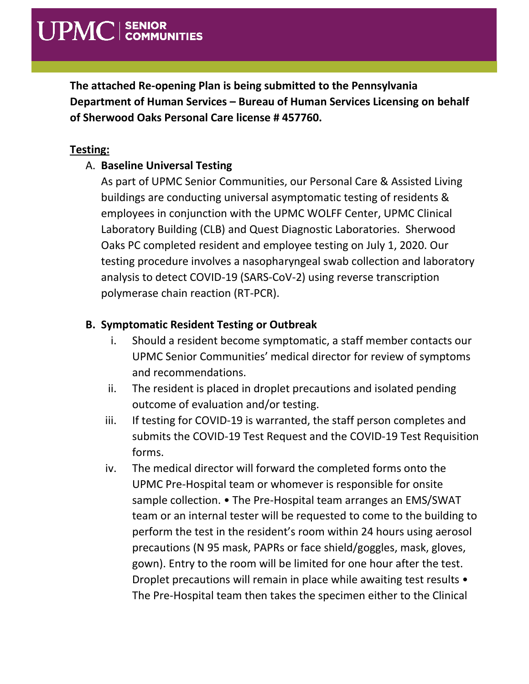**The attached Re-opening Plan is being submitted to the Pennsylvania Department of Human Services – Bureau of Human Services Licensing on behalf of Sherwood Oaks Personal Care license # 457760.**

#### **Testing:**

### A. **Baseline Universal Testing**

As part of UPMC Senior Communities, our Personal Care & Assisted Living buildings are conducting universal asymptomatic testing of residents & employees in conjunction with the UPMC WOLFF Center, UPMC Clinical Laboratory Building (CLB) and Quest Diagnostic Laboratories. Sherwood Oaks PC completed resident and employee testing on July 1, 2020. Our testing procedure involves a nasopharyngeal swab collection and laboratory analysis to detect COVID-19 (SARS-CoV-2) using reverse transcription polymerase chain reaction (RT-PCR).

### **B. Symptomatic Resident Testing or Outbreak**

- i. Should a resident become symptomatic, a staff member contacts our UPMC Senior Communities' medical director for review of symptoms and recommendations.
- ii. The resident is placed in droplet precautions and isolated pending outcome of evaluation and/or testing.
- iii. If testing for COVID-19 is warranted, the staff person completes and submits the COVID-19 Test Request and the COVID-19 Test Requisition forms.
- iv. The medical director will forward the completed forms onto the UPMC Pre-Hospital team or whomever is responsible for onsite sample collection. • The Pre-Hospital team arranges an EMS/SWAT team or an internal tester will be requested to come to the building to perform the test in the resident's room within 24 hours using aerosol precautions (N 95 mask, PAPRs or face shield/goggles, mask, gloves, gown). Entry to the room will be limited for one hour after the test. Droplet precautions will remain in place while awaiting test results • The Pre-Hospital team then takes the specimen either to the Clinical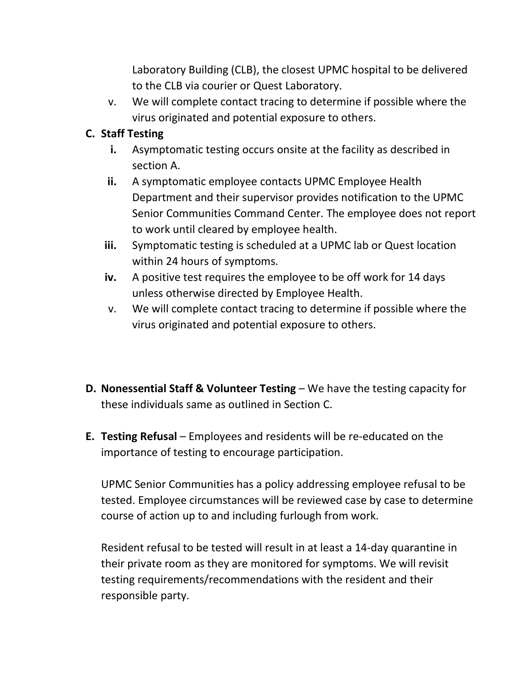Laboratory Building (CLB), the closest UPMC hospital to be delivered to the CLB via courier or Quest Laboratory.

v. We will complete contact tracing to determine if possible where the virus originated and potential exposure to others.

### **C. Staff Testing**

- **i.** Asymptomatic testing occurs onsite at the facility as described in section A.
- **ii.** A symptomatic employee contacts UPMC Employee Health Department and their supervisor provides notification to the UPMC Senior Communities Command Center. The employee does not report to work until cleared by employee health.
- **iii.** Symptomatic testing is scheduled at a UPMC lab or Quest location within 24 hours of symptoms.
- **iv.** A positive test requires the employee to be off work for 14 days unless otherwise directed by Employee Health.
- v. We will complete contact tracing to determine if possible where the virus originated and potential exposure to others.
- **D. Nonessential Staff & Volunteer Testing** We have the testing capacity for these individuals same as outlined in Section C.
- **E. Testing Refusal**  Employees and residents will be re-educated on the importance of testing to encourage participation.

UPMC Senior Communities has a policy addressing employee refusal to be tested. Employee circumstances will be reviewed case by case to determine course of action up to and including furlough from work.

Resident refusal to be tested will result in at least a 14-day quarantine in their private room as they are monitored for symptoms. We will revisit testing requirements/recommendations with the resident and their responsible party.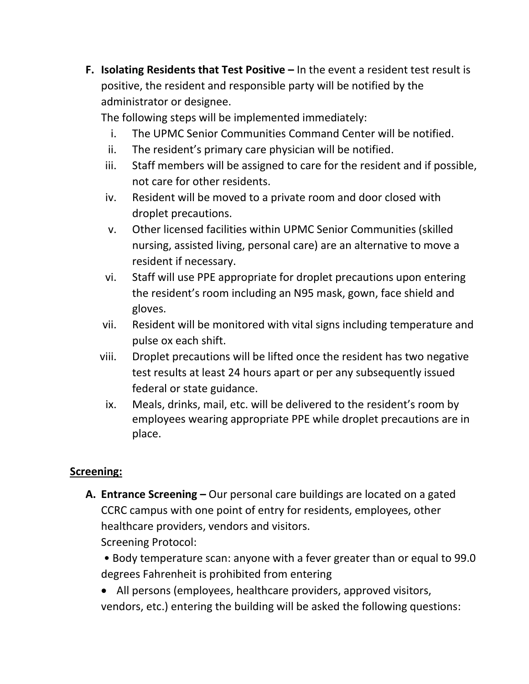**F. Isolating Residents that Test Positive –** In the event a resident test result is positive, the resident and responsible party will be notified by the administrator or designee.

The following steps will be implemented immediately:

- i. The UPMC Senior Communities Command Center will be notified.
- ii. The resident's primary care physician will be notified.
- iii. Staff members will be assigned to care for the resident and if possible, not care for other residents.
- iv. Resident will be moved to a private room and door closed with droplet precautions.
- v. Other licensed facilities within UPMC Senior Communities (skilled nursing, assisted living, personal care) are an alternative to move a resident if necessary.
- vi. Staff will use PPE appropriate for droplet precautions upon entering the resident's room including an N95 mask, gown, face shield and gloves.
- vii. Resident will be monitored with vital signs including temperature and pulse ox each shift.
- viii. Droplet precautions will be lifted once the resident has two negative test results at least 24 hours apart or per any subsequently issued federal or state guidance.
	- ix. Meals, drinks, mail, etc. will be delivered to the resident's room by employees wearing appropriate PPE while droplet precautions are in place.

## **Screening:**

**A. Entrance Screening –** Our personal care buildings are located on a gated CCRC campus with one point of entry for residents, employees, other healthcare providers, vendors and visitors. Screening Protocol:

• Body temperature scan: anyone with a fever greater than or equal to 99.0 degrees Fahrenheit is prohibited from entering

• All persons (employees, healthcare providers, approved visitors, vendors, etc.) entering the building will be asked the following questions: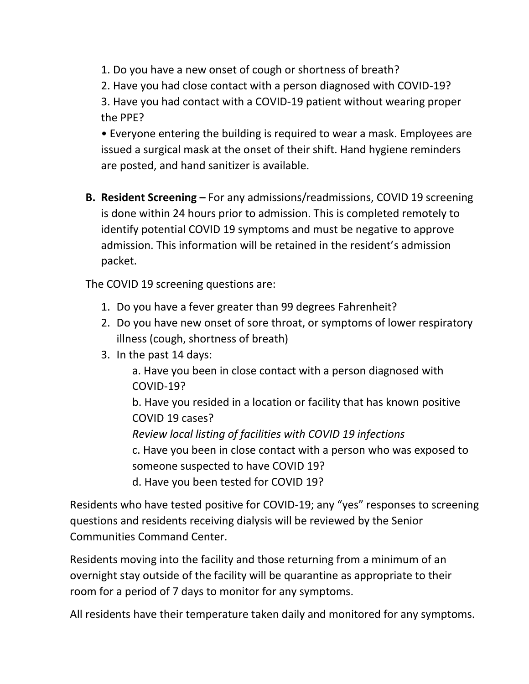- 1. Do you have a new onset of cough or shortness of breath?
- 2. Have you had close contact with a person diagnosed with COVID-19?

3. Have you had contact with a COVID-19 patient without wearing proper the PPE?

• Everyone entering the building is required to wear a mask. Employees are issued a surgical mask at the onset of their shift. Hand hygiene reminders are posted, and hand sanitizer is available.

**B. Resident Screening –** For any admissions/readmissions, COVID 19 screening is done within 24 hours prior to admission. This is completed remotely to identify potential COVID 19 symptoms and must be negative to approve admission. This information will be retained in the resident's admission packet.

The COVID 19 screening questions are:

- 1. Do you have a fever greater than 99 degrees Fahrenheit?
- 2. Do you have new onset of sore throat, or symptoms of lower respiratory illness (cough, shortness of breath)
- 3. In the past 14 days:

a. Have you been in close contact with a person diagnosed with COVID-19? b. Have you resided in a location or facility that has known positive COVID 19 cases? *Review local listing of facilities with COVID 19 infections*

c. Have you been in close contact with a person who was exposed to someone suspected to have COVID 19?

d. Have you been tested for COVID 19?

Residents who have tested positive for COVID-19; any "yes" responses to screening questions and residents receiving dialysis will be reviewed by the Senior Communities Command Center.

Residents moving into the facility and those returning from a minimum of an overnight stay outside of the facility will be quarantine as appropriate to their room for a period of 7 days to monitor for any symptoms.

All residents have their temperature taken daily and monitored for any symptoms.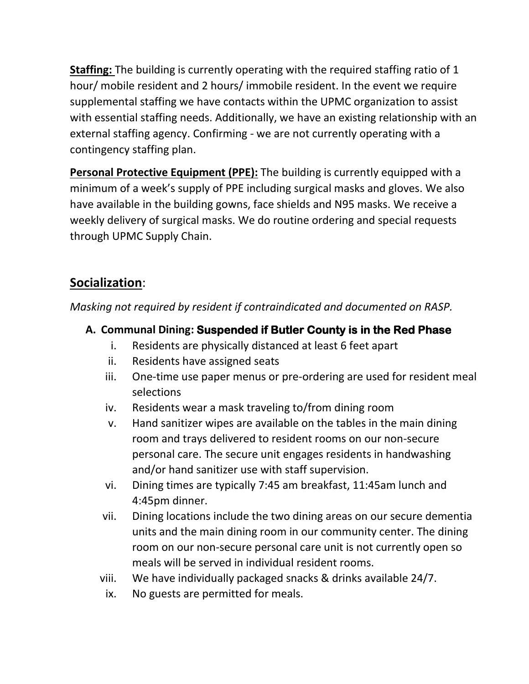**Staffing:** The building is currently operating with the required staffing ratio of 1 hour/ mobile resident and 2 hours/ immobile resident. In the event we require supplemental staffing we have contacts within the UPMC organization to assist with essential staffing needs. Additionally, we have an existing relationship with an external staffing agency. Confirming - we are not currently operating with a contingency staffing plan.

**Personal Protective Equipment (PPE):** The building is currently equipped with a minimum of a week's supply of PPE including surgical masks and gloves. We also have available in the building gowns, face shields and N95 masks. We receive a weekly delivery of surgical masks. We do routine ordering and special requests through UPMC Supply Chain.

# **Socialization**:

*Masking not required by resident if contraindicated and documented on RASP.*

- **A. Communal Dining: Suspended if Butler County is in the Red Phase** 
	- i. Residents are physically distanced at least 6 feet apart
	- ii. Residents have assigned seats
	- iii. One-time use paper menus or pre-ordering are used for resident meal selections
	- iv. Residents wear a mask traveling to/from dining room
	- v. Hand sanitizer wipes are available on the tables in the main dining room and trays delivered to resident rooms on our non-secure personal care. The secure unit engages residents in handwashing and/or hand sanitizer use with staff supervision.
	- vi. Dining times are typically 7:45 am breakfast, 11:45am lunch and 4:45pm dinner.
	- vii. Dining locations include the two dining areas on our secure dementia units and the main dining room in our community center. The dining room on our non-secure personal care unit is not currently open so meals will be served in individual resident rooms.
	- viii. We have individually packaged snacks & drinks available 24/7.
	- ix. No guests are permitted for meals.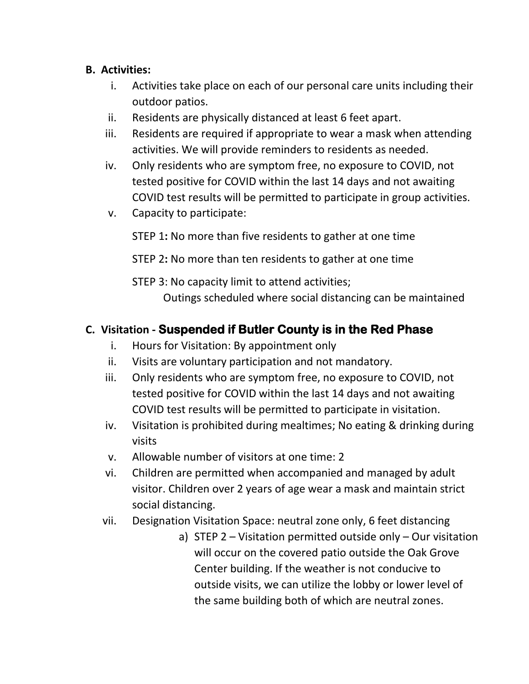### **B. Activities:**

- i. Activities take place on each of our personal care units including their outdoor patios.
- ii. Residents are physically distanced at least 6 feet apart.
- iii. Residents are required if appropriate to wear a mask when attending activities. We will provide reminders to residents as needed.
- iv. Only residents who are symptom free, no exposure to COVID, not tested positive for COVID within the last 14 days and not awaiting COVID test results will be permitted to participate in group activities.
- v. Capacity to participate:

STEP 1**:** No more than five residents to gather at one time

STEP 2**:** No more than ten residents to gather at one time

STEP 3: No capacity limit to attend activities; Outings scheduled where social distancing can be maintained

# **C. Visitation - Suspended if Butler County is in the Red Phase**

- i. Hours for Visitation: By appointment only
- ii. Visits are voluntary participation and not mandatory.
- iii. Only residents who are symptom free, no exposure to COVID, not tested positive for COVID within the last 14 days and not awaiting COVID test results will be permitted to participate in visitation.
- iv. Visitation is prohibited during mealtimes; No eating & drinking during visits
- v. Allowable number of visitors at one time: 2
- vi. Children are permitted when accompanied and managed by adult visitor. Children over 2 years of age wear a mask and maintain strict social distancing.
- vii. Designation Visitation Space: neutral zone only, 6 feet distancing
	- a) STEP 2 Visitation permitted outside only Our visitation will occur on the covered patio outside the Oak Grove Center building. If the weather is not conducive to outside visits, we can utilize the lobby or lower level of the same building both of which are neutral zones.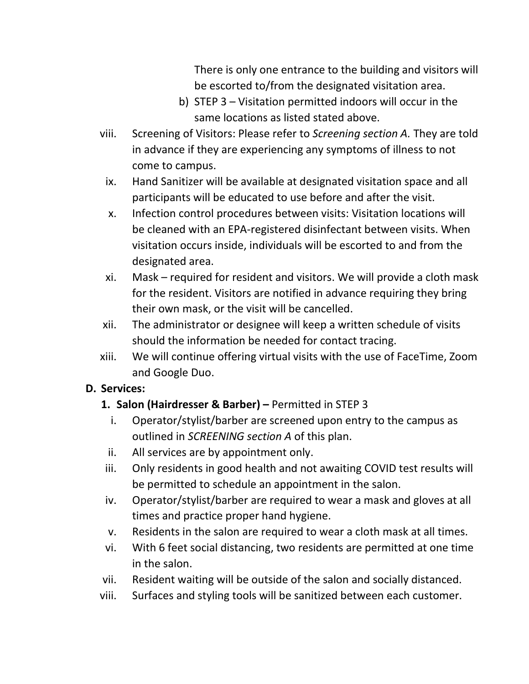There is only one entrance to the building and visitors will be escorted to/from the designated visitation area.

- b) STEP 3 Visitation permitted indoors will occur in the same locations as listed stated above.
- viii. Screening of Visitors: Please refer to *Screening section A.* They are told in advance if they are experiencing any symptoms of illness to not come to campus.
	- ix. Hand Sanitizer will be available at designated visitation space and all participants will be educated to use before and after the visit.
	- x. Infection control procedures between visits: Visitation locations will be cleaned with an EPA-registered disinfectant between visits. When visitation occurs inside, individuals will be escorted to and from the designated area.
- xi. Mask required for resident and visitors. We will provide a cloth mask for the resident. Visitors are notified in advance requiring they bring their own mask, or the visit will be cancelled.
- xii. The administrator or designee will keep a written schedule of visits should the information be needed for contact tracing.
- xiii. We will continue offering virtual visits with the use of FaceTime, Zoom and Google Duo.

## **D. Services:**

# **1. Salon (Hairdresser & Barber) –** Permitted in STEP 3

- i. Operator/stylist/barber are screened upon entry to the campus as outlined in *SCREENING section A* of this plan.
- ii. All services are by appointment only.
- iii. Only residents in good health and not awaiting COVID test results will be permitted to schedule an appointment in the salon.
- iv. Operator/stylist/barber are required to wear a mask and gloves at all times and practice proper hand hygiene.
- v. Residents in the salon are required to wear a cloth mask at all times.
- vi. With 6 feet social distancing, two residents are permitted at one time in the salon.
- vii. Resident waiting will be outside of the salon and socially distanced.
- viii. Surfaces and styling tools will be sanitized between each customer.